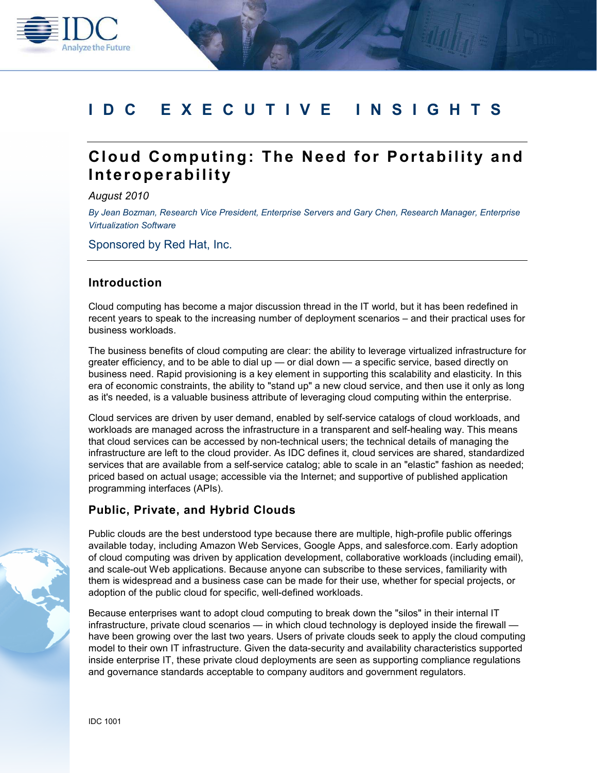

# **Cloud Computing: The Need for Portability and Interoperability**

*August 2010* 

**Analyze the Future** 

*By Jean Bozman, Research Vice President, Enterprise Servers and Gary Chen, Research Manager, Enterprise Virtualization Software* 

Sponsored by Red Hat, Inc.

## **Introduction**

Cloud computing has become a major discussion thread in the IT world, but it has been redefined in recent years to speak to the increasing number of deployment scenarios – and their practical uses for business workloads.

The business benefits of cloud computing are clear: the ability to leverage virtualized infrastructure for greater efficiency, and to be able to dial up — or dial down — a specific service, based directly on business need. Rapid provisioning is a key element in supporting this scalability and elasticity. In this era of economic constraints, the ability to "stand up" a new cloud service, and then use it only as long as it's needed, is a valuable business attribute of leveraging cloud computing within the enterprise.

Cloud services are driven by user demand, enabled by self-service catalogs of cloud workloads, and workloads are managed across the infrastructure in a transparent and self-healing way. This means that cloud services can be accessed by non-technical users; the technical details of managing the infrastructure are left to the cloud provider. As IDC defines it, cloud services are shared, standardized services that are available from a self-service catalog; able to scale in an "elastic" fashion as needed; priced based on actual usage; accessible via the Internet; and supportive of published application programming interfaces (APIs).

### **Public, Private, and Hybrid Clouds**

Public clouds are the best understood type because there are multiple, high-profile public offerings available today, including Amazon Web Services, Google Apps, and salesforce.com. Early adoption of cloud computing was driven by application development, collaborative workloads (including email), and scale-out Web applications. Because anyone can subscribe to these services, familiarity with them is widespread and a business case can be made for their use, whether for special projects, or adoption of the public cloud for specific, well-defined workloads.

Because enterprises want to adopt cloud computing to break down the "silos" in their internal IT infrastructure, private cloud scenarios — in which cloud technology is deployed inside the firewall have been growing over the last two years. Users of private clouds seek to apply the cloud computing model to their own IT infrastructure. Given the data-security and availability characteristics supported inside enterprise IT, these private cloud deployments are seen as supporting compliance regulations and governance standards acceptable to company auditors and government regulators.



IDC 1001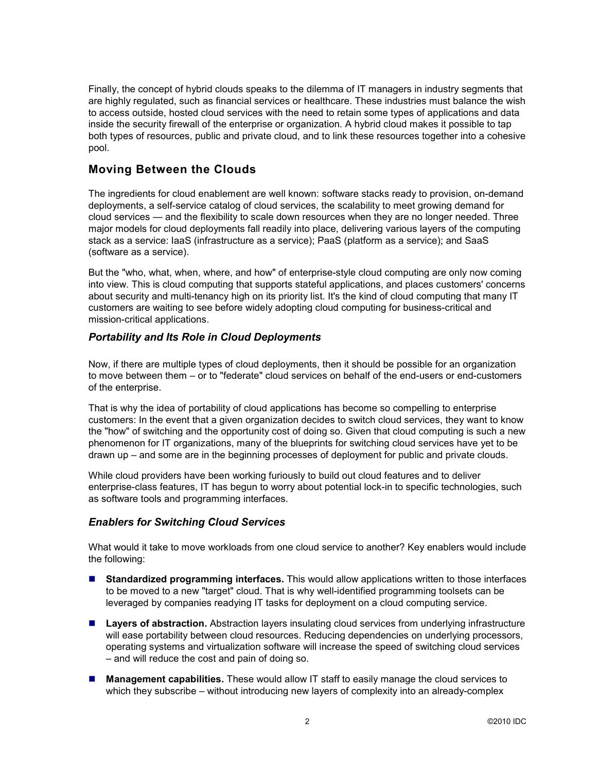Finally, the concept of hybrid clouds speaks to the dilemma of IT managers in industry segments that are highly regulated, such as financial services or healthcare. These industries must balance the wish to access outside, hosted cloud services with the need to retain some types of applications and data inside the security firewall of the enterprise or organization. A hybrid cloud makes it possible to tap both types of resources, public and private cloud, and to link these resources together into a cohesive pool.

# **Moving Between the Clouds**

The ingredients for cloud enablement are well known: software stacks ready to provision, on-demand deployments, a self-service catalog of cloud services, the scalability to meet growing demand for cloud services — and the flexibility to scale down resources when they are no longer needed. Three major models for cloud deployments fall readily into place, delivering various layers of the computing stack as a service: IaaS (infrastructure as a service); PaaS (platform as a service); and SaaS (software as a service).

But the "who, what, when, where, and how" of enterprise-style cloud computing are only now coming into view. This is cloud computing that supports stateful applications, and places customers' concerns about security and multi-tenancy high on its priority list. It's the kind of cloud computing that many IT customers are waiting to see before widely adopting cloud computing for business-critical and mission-critical applications.

## *Portability and Its Role in Cloud Deployments*

Now, if there are multiple types of cloud deployments, then it should be possible for an organization to move between them – or to "federate" cloud services on behalf of the end-users or end-customers of the enterprise.

That is why the idea of portability of cloud applications has become so compelling to enterprise customers: In the event that a given organization decides to switch cloud services, they want to know the "how" of switching and the opportunity cost of doing so. Given that cloud computing is such a new phenomenon for IT organizations, many of the blueprints for switching cloud services have yet to be drawn up – and some are in the beginning processes of deployment for public and private clouds.

While cloud providers have been working furiously to build out cloud features and to deliver enterprise-class features, IT has begun to worry about potential lock-in to specific technologies, such as software tools and programming interfaces.

## *Enablers for Switching Cloud Services*

What would it take to move workloads from one cloud service to another? Key enablers would include the following:

- **Standardized programming interfaces.** This would allow applications written to those interfaces to be moved to a new "target" cloud. That is why well-identified programming toolsets can be leveraged by companies readying IT tasks for deployment on a cloud computing service.
- Layers of abstraction. Abstraction layers insulating cloud services from underlying infrastructure will ease portability between cloud resources. Reducing dependencies on underlying processors, operating systems and virtualization software will increase the speed of switching cloud services – and will reduce the cost and pain of doing so.
- **Management capabilities.** These would allow IT staff to easily manage the cloud services to which they subscribe – without introducing new layers of complexity into an already-complex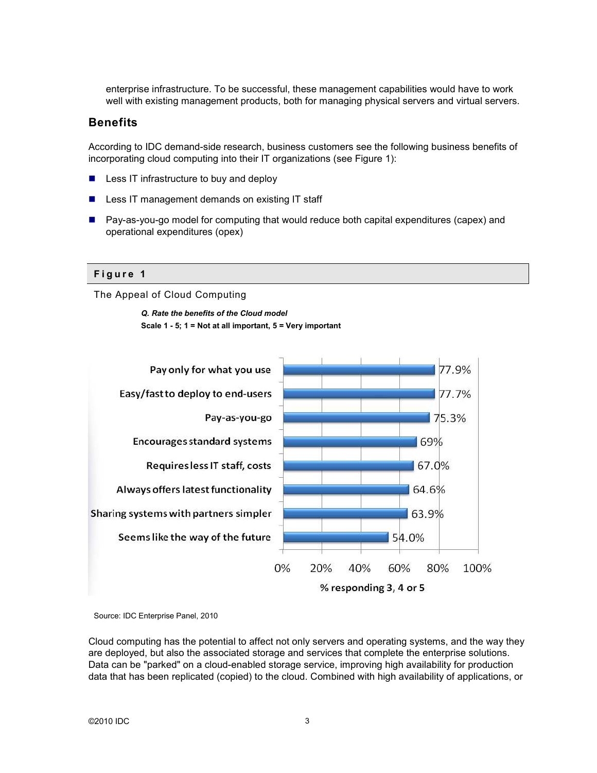enterprise infrastructure. To be successful, these management capabilities would have to work well with existing management products, both for managing physical servers and virtual servers.

## **Benefits**

According to IDC demand-side research, business customers see the following business benefits of incorporating cloud computing into their IT organizations (see Figure 1):

- Less IT infrastructure to buy and deploy
- Less IT management demands on existing IT staff
- Pay-as-you-go model for computing that would reduce both capital expenditures (capex) and operational expenditures (opex)

#### **F i g u r e 1**

The Appeal of Cloud Computing

*Q. Rate the benefits of the Cloud model*  **Scale 1 - 5; 1 = Not at all important, 5 = Very important** 



Source: IDC Enterprise Panel, 2010

Cloud computing has the potential to affect not only servers and operating systems, and the way they are deployed, but also the associated storage and services that complete the enterprise solutions. Data can be "parked" on a cloud-enabled storage service, improving high availability for production data that has been replicated (copied) to the cloud. Combined with high availability of applications, or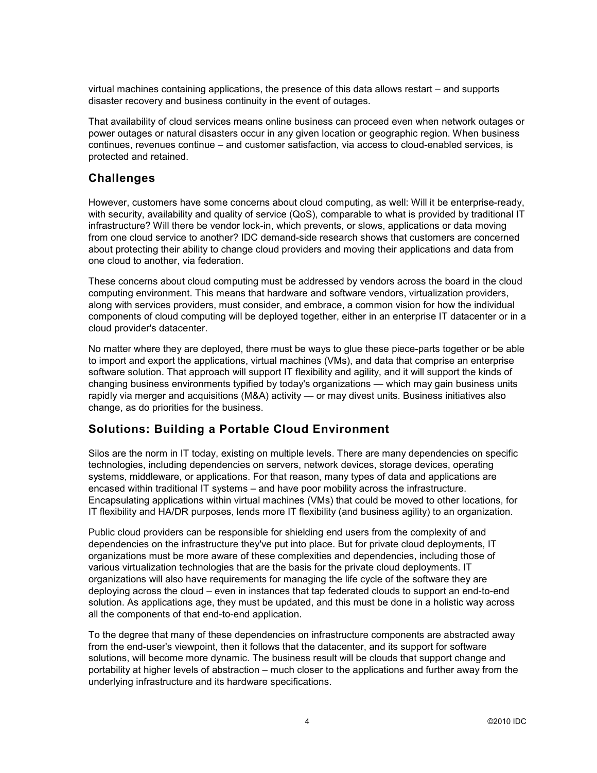virtual machines containing applications, the presence of this data allows restart – and supports disaster recovery and business continuity in the event of outages.

That availability of cloud services means online business can proceed even when network outages or power outages or natural disasters occur in any given location or geographic region. When business continues, revenues continue – and customer satisfaction, via access to cloud-enabled services, is protected and retained.

## **Challenges**

However, customers have some concerns about cloud computing, as well: Will it be enterprise-ready, with security, availability and quality of service (QoS), comparable to what is provided by traditional IT infrastructure? Will there be vendor lock-in, which prevents, or slows, applications or data moving from one cloud service to another? IDC demand-side research shows that customers are concerned about protecting their ability to change cloud providers and moving their applications and data from one cloud to another, via federation.

These concerns about cloud computing must be addressed by vendors across the board in the cloud computing environment. This means that hardware and software vendors, virtualization providers, along with services providers, must consider, and embrace, a common vision for how the individual components of cloud computing will be deployed together, either in an enterprise IT datacenter or in a cloud provider's datacenter.

No matter where they are deployed, there must be ways to glue these piece-parts together or be able to import and export the applications, virtual machines (VMs), and data that comprise an enterprise software solution. That approach will support IT flexibility and agility, and it will support the kinds of changing business environments typified by today's organizations — which may gain business units rapidly via merger and acquisitions (M&A) activity — or may divest units. Business initiatives also change, as do priorities for the business.

## **Solutions: Building a Portable Cloud Environment**

Silos are the norm in IT today, existing on multiple levels. There are many dependencies on specific technologies, including dependencies on servers, network devices, storage devices, operating systems, middleware, or applications. For that reason, many types of data and applications are encased within traditional IT systems – and have poor mobility across the infrastructure. Encapsulating applications within virtual machines (VMs) that could be moved to other locations, for IT flexibility and HA/DR purposes, lends more IT flexibility (and business agility) to an organization.

Public cloud providers can be responsible for shielding end users from the complexity of and dependencies on the infrastructure they've put into place. But for private cloud deployments, IT organizations must be more aware of these complexities and dependencies, including those of various virtualization technologies that are the basis for the private cloud deployments. IT organizations will also have requirements for managing the life cycle of the software they are deploying across the cloud – even in instances that tap federated clouds to support an end-to-end solution. As applications age, they must be updated, and this must be done in a holistic way across all the components of that end-to-end application.

To the degree that many of these dependencies on infrastructure components are abstracted away from the end-user's viewpoint, then it follows that the datacenter, and its support for software solutions, will become more dynamic. The business result will be clouds that support change and portability at higher levels of abstraction – much closer to the applications and further away from the underlying infrastructure and its hardware specifications.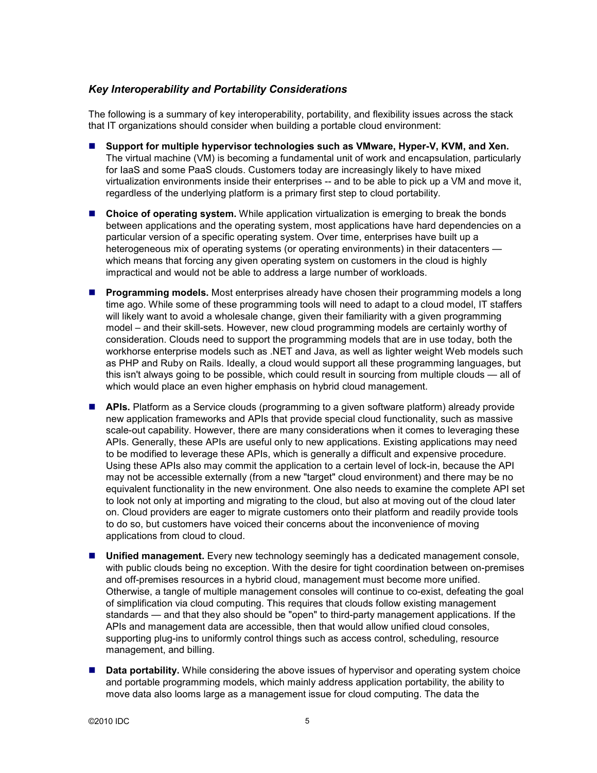## *Key Interoperability and Portability Considerations*

The following is a summary of key interoperability, portability, and flexibility issues across the stack that IT organizations should consider when building a portable cloud environment:

- **Support for multiple hypervisor technologies such as VMware, Hyper-V, KVM, and Xen.** The virtual machine (VM) is becoming a fundamental unit of work and encapsulation, particularly for IaaS and some PaaS clouds. Customers today are increasingly likely to have mixed virtualization environments inside their enterprises -- and to be able to pick up a VM and move it, regardless of the underlying platform is a primary first step to cloud portability.
- **Choice of operating system.** While application virtualization is emerging to break the bonds between applications and the operating system, most applications have hard dependencies on a particular version of a specific operating system. Over time, enterprises have built up a heterogeneous mix of operating systems (or operating environments) in their datacenters which means that forcing any given operating system on customers in the cloud is highly impractical and would not be able to address a large number of workloads.
- **Programming models.** Most enterprises already have chosen their programming models a long time ago. While some of these programming tools will need to adapt to a cloud model, IT staffers will likely want to avoid a wholesale change, given their familiarity with a given programming model – and their skill-sets. However, new cloud programming models are certainly worthy of consideration. Clouds need to support the programming models that are in use today, both the workhorse enterprise models such as .NET and Java, as well as lighter weight Web models such as PHP and Ruby on Rails. Ideally, a cloud would support all these programming languages, but this isn't always going to be possible, which could result in sourcing from multiple clouds — all of which would place an even higher emphasis on hybrid cloud management.
- **APIs.** Platform as a Service clouds (programming to a given software platform) already provide new application frameworks and APIs that provide special cloud functionality, such as massive scale-out capability. However, there are many considerations when it comes to leveraging these APIs. Generally, these APIs are useful only to new applications. Existing applications may need to be modified to leverage these APIs, which is generally a difficult and expensive procedure. Using these APIs also may commit the application to a certain level of lock-in, because the API may not be accessible externally (from a new "target" cloud environment) and there may be no equivalent functionality in the new environment. One also needs to examine the complete API set to look not only at importing and migrating to the cloud, but also at moving out of the cloud later on. Cloud providers are eager to migrate customers onto their platform and readily provide tools to do so, but customers have voiced their concerns about the inconvenience of moving applications from cloud to cloud.
- **Unified management.** Every new technology seemingly has a dedicated management console, with public clouds being no exception. With the desire for tight coordination between on-premises and off-premises resources in a hybrid cloud, management must become more unified. Otherwise, a tangle of multiple management consoles will continue to co-exist, defeating the goal of simplification via cloud computing. This requires that clouds follow existing management standards — and that they also should be "open" to third-party management applications. If the APIs and management data are accessible, then that would allow unified cloud consoles, supporting plug-ins to uniformly control things such as access control, scheduling, resource management, and billing.
- **Data portability.** While considering the above issues of hypervisor and operating system choice and portable programming models, which mainly address application portability, the ability to move data also looms large as a management issue for cloud computing. The data the